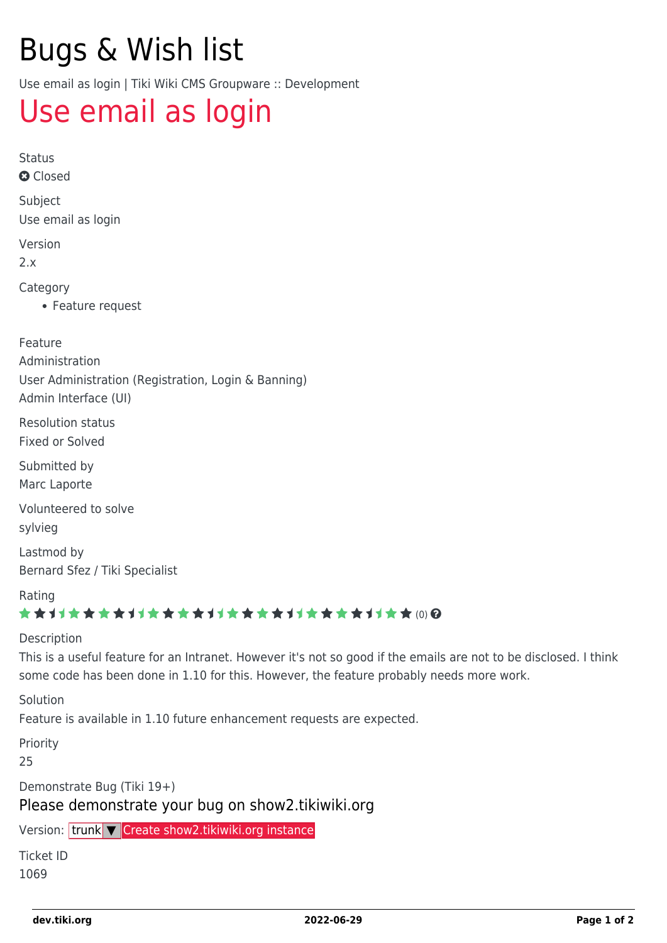# Bugs & Wish list

Use email as login | Tiki Wiki CMS Groupware :: Development

## [Use email as login](https://dev.tiki.org/item1069-Use-email-as-login)

Status

**a** Closed

Subject Use email as login

Version

2.x

Category

Feature request

Feature

Administration User Administration (Registration, Login & Banning) Admin Interface (UI)

Resolution status Fixed or Solved

Submitted by Marc Laporte

Volunteered to solve

sylvieg

Lastmod by Bernard Sfez / Tiki Specialist

Rating

#### ★★オオ★★★★オオ★★★★オオ★★★★オオ★★★★オオ★★∞Q

#### Description

This is a useful feature for an Intranet. However it's not so good if the emails are not to be disclosed. I think some code has been done in 1.10 for this. However, the feature probably needs more work.

Solution

Feature is available in 1.10 future enhancement requests are expected.

Priority

25

Demonstrate Bug (Tiki 19+)

Please demonstrate your bug on show2.tikiwiki.org

Version: trunk ▼ [Create show2.tikiwiki.org instance](#page--1-0)

Ticket ID 1069